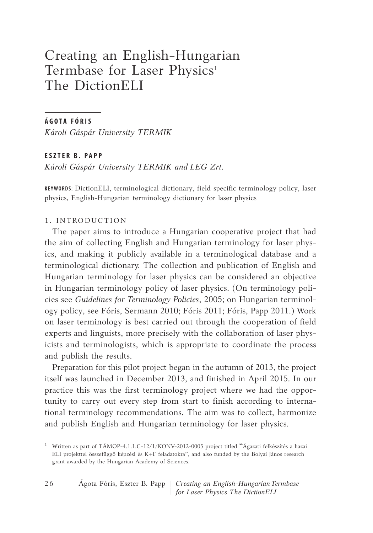# Creating an English-Hungarian Termbase for Laser Physics<sup>1</sup> The DictionELI

# **Á GOTA FÓ RIS**

*Károli Gáspár University TERMIK*

## **ESZTER B. P APP**

*Károli Gáspár University TERMIK and LEG Zrt.*

**KEYWORDS:** DictioneLi, terminological dictionary, field specific terminology policy, laser physics, English-Hungarian terminology dictionary for laser physics

# 1. INTRODUCTION

The paper aims to introduce a Hungarian cooperative project that had the aim of collecting English and Hungarian terminology for laser physics, and making it publicly available in a terminological database and a terminological dictionary. The collection and publication of English and Hungarian terminology for laser physics can be considered an objective in Hungarian terminology policy of laser physics. (On terminology policies see *Guidelines for Terminology Policies*, 2005; on Hungarian terminology policy, see Fóris, Sermann 2010; Fóris 2011; Fóris, Papp 2011.) Work on laser terminology is best carried out through the cooperation of field experts and linguists, more precisely with the collaboration of laser physicists and terminologists, which is appropriate to coordinate the process and publish the results.

Preparation for this pilot project began in the autumn of 2013, the project itself was launched in December 2013, and finished in April 2015. in our practice this was the first terminology project where we had the opportunity to carry out every step from start to finish according to international terminology recommendations. The aim was to collect, harmonize and publish English and Hungarian terminology for laser physics.

<sup>&</sup>lt;sup>1</sup> Written as part of TÁMOP-4.1.1.C-12/1/KONV-2012-0005 project titled "Ágazati felkészítés a hazai eLi projekttel összefüggő képzési és K+F feladatokra", and also funded by the Bolyai János research grant awarded by the Hungarian Academy of Sciences.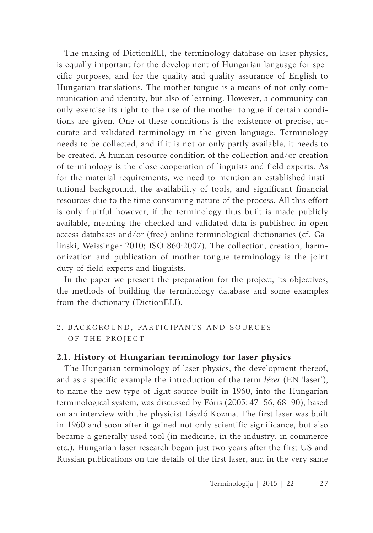The making of DictionELI, the terminology database on laser physics, is equally important for the development of Hungarian language for specific purposes, and for the quality and quality assurance of English to Hungarian translations. The mother tongue is a means of not only communication and identity, but also of learning. However, a community can only exercise its right to the use of the mother tongue if certain conditions are given. One of these conditions is the existence of precise, accurate and validated terminology in the given language. Terminology needs to be collected, and if it is not or only partly available, it needs to be created. A human resource condition of the collection and/or creation of terminology is the close cooperation of linguists and field experts. As for the material requirements, we need to mention an established institutional background, the availability of tools, and significant financial resources due to the time consuming nature of the process. All this effort is only fruitful however, if the terminology thus built is made publicly available, meaning the checked and validated data is published in open access databases and/or (free) online terminological dictionaries (cf. Galinski, Weissinger 2010; iSO 860:2007). The collection, creation, harmonization and publication of mother tongue terminology is the joint duty of field experts and linguists.

In the paper we present the preparation for the project, its objectives, the methods of building the terminology database and some examples from the dictionary (DictionELI).

# 2. BACKGROUND, PARTICIPANTS AND SOURCES OF THE PROJECT

## **2.1. History of Hungarian terminology for laser physics**

The Hungarian terminology of laser physics, the development thereof, and as a specific example the introduction of the term *lézer* (EN 'laser'), to name the new type of light source built in 1960, into the Hungarian terminological system, was discussed by Fóris (2005: 47–56, 68–90), based on an interview with the physicist László Kozma. The first laser was built in 1960 and soon after it gained not only scientific significance, but also became a generally used tool (in medicine, in the industry, in commerce etc.). Hungarian laser research began just two years after the first US and Russian publications on the details of the first laser, and in the very same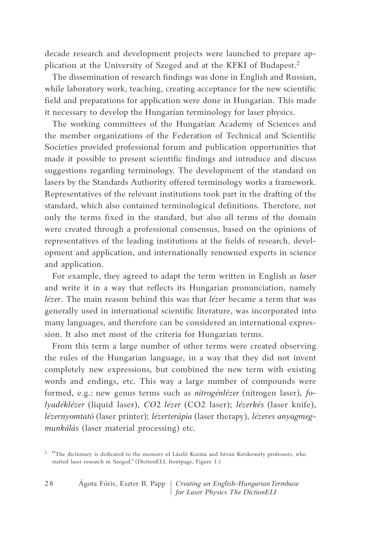decade research and development projects were launched to prepare application at the University of Szeged and at the KFKI of Budapest.<sup>2</sup>

The dissemination of research findings was done in English and Russian, while laboratory work, teaching, creating acceptance for the new scientific field and preparations for application were done in Hungarian. This made it necessary to develop the Hungarian terminology for laser physics.

The working committees of the Hungarian Academy of Sciences and the member organizations of the Federation of Technical and Scientific Societies provided professional forum and publication opportunities that made it possible to present scientific findings and introduce and discuss suggestions regarding terminology. The development of the standard on lasers by the Standards Authority offered terminology works a framework. Representatives of the relevant institutions took part in the drafting of the standard, which also contained terminological definitions. Therefore, not only the terms fixed in the standard, but also all terms of the domain were created through a professional consensus, based on the opinions of representatives of the leading institutions at the fields of research, development and application, and internationally renowned experts in science and application.

For example, they agreed to adapt the term written in English as *laser* and write it in a way that reflects its Hungarian pronunciation, namely *lézer*. The main reason behind this was that *lézer* became a term that was generally used in international scientific literature, was incorporated into many languages, and therefore can be considered an international expression. it also met most of the criteria for Hungarian terms.

From this term a large number of other terms were created observing the rules of the Hungarian language, in a way that they did not invent completely new expressions, but combined the new term with existing words and endings, etc. This way a large number of compounds were formed, e.g.: new genus terms such as *nitrogénlézer* (nitrogen laser), *folyadéklézer* (liquid laser), *CO*2 *lézer* (CO2 laser); *lézerkés* (laser knife), *lézernyomtató* (laser printer); *lézerterápia* (laser therapy), *lézeres anyagmegmunkálás* (laser material processing) etc.

<sup>&</sup>lt;sup>2</sup> "The dictionary is dedicated to the memory of László Kozma and István Ketskeméty professors, who started laser research in Szeged." (DictionELI, frontpage, Figure 1.)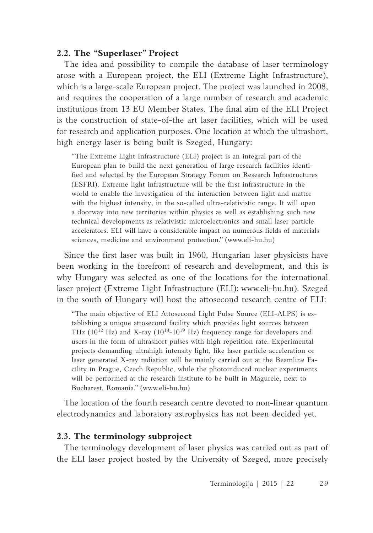# **2.2. The "Superlaser" Project**

The idea and possibility to compile the database of laser terminology arose with a European project, the ELI (Extreme Light Infrastructure), which is a large-scale European project. The project was launched in 2008, and requires the cooperation of a large number of research and academic institutions from 13 EU Member States. The final aim of the ELI Project is the construction of state-of-the art laser facilities, which will be used for research and application purposes. One location at which the ultrashort, high energy laser is being built is Szeged, Hungary:

"The Extreme Light Infrastructure (ELI) project is an integral part of the European plan to build the next generation of large research facilities identified and selected by the European Strategy Forum on Research Infrastructures (eSFRi). extreme light infrastructure will be the first infrastructure in the world to enable the investigation of the interaction between light and matter with the highest intensity, in the so-called ultra-relativistic range. It will open a doorway into new territories within physics as well as establishing such new technical developments as relativistic microelectronics and small laser particle accelerators. eLi will have a considerable impact on numerous fields of materials sciences, medicine and environment protection." (www.eli-hu.hu)

Since the first laser was built in 1960, Hungarian laser physicists have been working in the forefront of research and development, and this is why Hungary was selected as one of the locations for the international laser project (Extreme Light Infrastructure (ELI): www.eli-hu.hu). Szeged in the south of Hungary will host the attosecond research centre of ELI:

"The main objective of ELI Attosecond Light Pulse Source (ELI-ALPS) is establishing a unique attosecond facility which provides light sources between THz (10<sup>12</sup> Hz) and X-ray (1018-10<sup>19</sup> Hz) frequency range for developers and users in the form of ultrashort pulses with high repetition rate. Experimental projects demanding ultrahigh intensity light, like laser particle acceleration or laser generated X-ray radiation will be mainly carried out at the Beamline Facility in Prague, Czech Republic, while the photoinduced nuclear experiments will be performed at the research institute to be built in Magurele, next to Bucharest, Romania." (www.eli-hu.hu)

The location of the fourth research centre devoted to non-linear quantum electrodynamics and laboratory astrophysics has not been decided yet.

# **2.3. The terminology subproject**

The terminology development of laser physics was carried out as part of the eLi laser project hosted by the University of Szeged, more precisely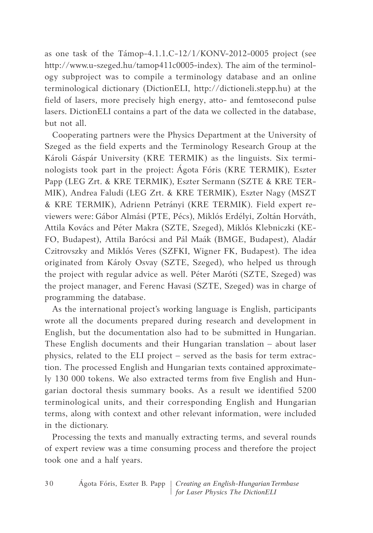as one task of the Támop-4.1.1.C-12/1/KONV-2012-0005 project (see http://www.u-szeged.hu/tamop411c0005-index). The aim of the terminology subproject was to compile a terminology database and an online terminological dictionary (DictioneLi, http://dictioneli.stepp.hu) at the field of lasers, more precisely high energy, atto- and femtosecond pulse lasers. DictionELI contains a part of the data we collected in the database, but not all.

Cooperating partners were the Physics Department at the University of Szeged as the field experts and the Terminology Research Group at the Károli Gáspár University (KRe TeRMiK) as the linguists. Six terminologists took part in the project: Ágota Fóris (KRe TeRMiK), eszter Papp (LEG Zrt. & KRE TERMIK), Eszter Sermann (SZTE & KRE TER-MIK), Andrea Faludi (LEG Zrt. & KRE TERMIK), Eszter Nagy (MSZT & KRe TeRMiK), Adrienn Petrányi (KRe TeRMiK). Field expert reviewers were: Gábor Almási (PTE, Pécs), Miklós Erdélyi, Zoltán Horváth, Attila Kovács and Péter Makra (SZTe, Szeged), Miklós Klebniczki (Ke-FO, Budapest), Attila Barócsi and Pál Maák (BMGe, Budapest), Aladár Czitrovszky and Miklós Veres (SZFKi, Wigner FK, Budapest). The idea originated from Károly Osvay (SZTe, Szeged), who helped us through the project with regular advice as well. Péter Maróti (SZTe, Szeged) was the project manager, and Ferenc Havasi (SZTe, Szeged) was in charge of programming the database.

As the international project's working language is English, participants wrote all the documents prepared during research and development in English, but the documentation also had to be submitted in Hungarian. These English documents and their Hungarian translation  $-$  about laser physics, related to the ELI project – served as the basis for term extraction. The processed English and Hungarian texts contained approximately 130 000 tokens. We also extracted terms from five English and Hungarian doctoral thesis summary books. As a result we identified 5200 terminological units, and their corresponding English and Hungarian terms, along with context and other relevant information, were included in the dictionary.

Processing the texts and manually extracting terms, and several rounds of expert review was a time consuming process and therefore the project took one and a half years.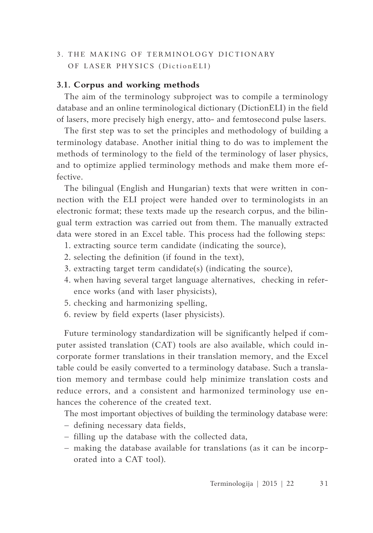# 3. THE MAKING OF TERMINOLOGY DICTIONARY OF LASER PHYSICS (DictionELI)

# **3.1. Corpus and working methods**

The aim of the terminology subproject was to compile a terminology database and an online terminological dictionary (DictioneLi) in the field of lasers, more precisely high energy, atto- and femtosecond pulse lasers.

The first step was to set the principles and methodology of building a terminology database. Another initial thing to do was to implement the methods of terminology to the field of the terminology of laser physics, and to optimize applied terminology methods and make them more effective.

The bilingual (English and Hungarian) texts that were written in connection with the eLi project were handed over to terminologists in an electronic format; these texts made up the research corpus, and the bilingual term extraction was carried out from them. The manually extracted data were stored in an Excel table. This process had the following steps:

- 1. extracting source term candidate (indicating the source),
- 2. selecting the definition (if found in the text),
- 3. extracting target term candidate(s) (indicating the source),
- 4. when having several target language alternatives, checking in reference works (and with laser physicists),
- 5. checking and harmonizing spelling,
- 6. review by field experts (laser physicists).

Future terminology standardization will be significantly helped if computer assisted translation (CAT) tools are also available, which could incorporate former translations in their translation memory, and the Excel table could be easily converted to a terminology database. Such a translation memory and termbase could help minimize translation costs and reduce errors, and a consistent and harmonized terminology use enhances the coherence of the created text.

The most important objectives of building the terminology database were:

- − defining necessary data fields,
- − filling up the database with the collected data,
- − making the database available for translations (as it can be incorporated into a CAT tool).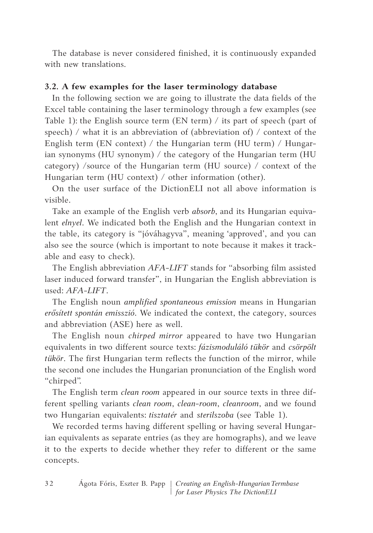The database is never considered finished, it is continuously expanded with new translations.

# **3.2. A few examples for the laser terminology database**

In the following section we are going to illustrate the data fields of the Excel table containing the laser terminology through a few examples (see Table 1): the English source term  $(EN term) /$  its part of speech (part of speech) / what it is an abbreviation of (abbreviation of) / context of the English term (EN context) / the Hungarian term (HU term) / Hungarian synonyms (HU synonym) / the category of the Hungarian term (HU category) /source of the Hungarian term (HU source) / context of the Hungarian term (HU context) / other information (other).

On the user surface of the DictionELI not all above information is visible.

Take an example of the English verb *absorb*, and its Hungarian equivalent *elnyel*. We indicated both the English and the Hungarian context in the table, its category is "jóváhagyva", meaning 'approved', and you can also see the source (which is important to note because it makes it trackable and easy to check).

The English abbreviation *AFA-LIFT* stands for "absorbing film assisted laser induced forward transfer", in Hungarian the English abbreviation is used: *AFA-LIFT*.

The English noun *amplified spontaneous emission* means in Hungarian erősített spontán emisszió. We indicated the context, the category, sources and abbreviation (ASE) here as well.

The English noun *chirped mirror* appeared to have two Hungarian equivalents in two different source texts: *fázismoduláló tükör* and *csörpölt tükör*. The first Hungarian term reflects the function of the mirror, while the second one includes the Hungarian pronunciation of the English word "chirped".

The English term *clean room* appeared in our source texts in three different spelling variants *clean room*, *clean-room*, *cleanroom*, and we found two Hungarian equivalents: *tisztatér* and *sterilszoba* (see Table 1).

We recorded terms having different spelling or having several Hungarian equivalents as separate entries (as they are homographs), and we leave it to the experts to decide whether they refer to different or the same concepts.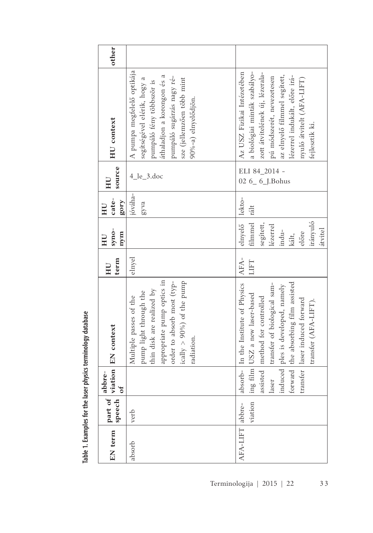| other                              |                                                                                                                                                                                                      |                                                                                                                                                                                                                                                                                |
|------------------------------------|------------------------------------------------------------------------------------------------------------------------------------------------------------------------------------------------------|--------------------------------------------------------------------------------------------------------------------------------------------------------------------------------------------------------------------------------------------------------------------------------|
| <b>HU</b> context                  | A pumpa megfelelő optikája<br>áthaladjon a korongon és a<br>pumpáló sugárzás nagy ré-<br>segítségével elérik, hogy a<br>sze (jellemzően több mint<br>pumpáló fény többször is<br>90%-a) elnyelődjön. | a biológiai minták szabályo-<br>Az USZ Fizikai Intézetében<br>zott átvitelének új, lézerala-<br>az elnyelő filmmel segített,<br>lézerrel indukált, előre irá-<br>pú módszerét, nevezetesen<br>nyuló átvitelt (AFA-LIFT)<br>fejlesztik ki.                                      |
| source<br>HU                       | $4$ <sup>le</sup> _3.doc                                                                                                                                                                             | ELI 84_2014 -<br>$6\_ 6$ _J.Bohus<br>02                                                                                                                                                                                                                                        |
| $cate-$<br>gory<br>HЦ              | jóváha-<br>gyva                                                                                                                                                                                      | lekto-                                                                                                                                                                                                                                                                         |
| syno-<br>mym<br>ЦH                 |                                                                                                                                                                                                      | filmmel rált<br>elnyelő<br>irányuló<br>segitett,<br>lézerrel<br>átvitel<br>indu-<br>előre<br>kált,                                                                                                                                                                             |
| term<br>HU                         | elnyel                                                                                                                                                                                               | AFA-<br>LIFT                                                                                                                                                                                                                                                                   |
| viation EN context                 | appropriate pump optics in<br>order to absorb most (typ-<br>ically $> 90\%$ ) of the pump<br>thin disk are realized by<br>pump light through the<br>Multiple passes of the<br>radiation.             | forward the absorbing film assisted<br>absorb- In the Institute of Physics<br>transfer of biological sam-<br>induced ples is developed, namely<br>ing film USZ a new laser-based<br>assisted   method for controlled<br>transfer laser induced forward<br>transfer (AFA-LIFT). |
| bre-<br>$\mathfrak{o}\mathfrak{f}$ |                                                                                                                                                                                                      | laser                                                                                                                                                                                                                                                                          |
| part of   <sup>abb</sup><br>speech | verb                                                                                                                                                                                                 | viation                                                                                                                                                                                                                                                                        |
| EN term                            | absorb                                                                                                                                                                                               | AFA-LIFT abbre-                                                                                                                                                                                                                                                                |

Table 1. Examples for the laser physics terminology database **Table 1. Examples for the laser physics terminology database**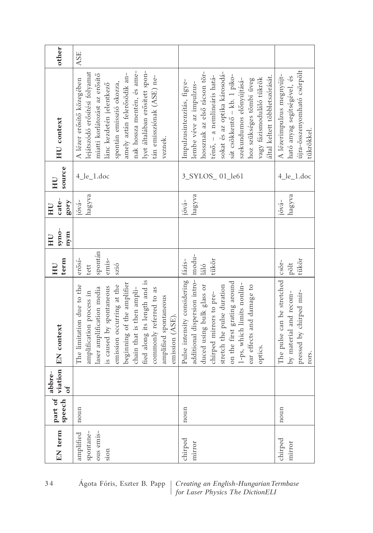| EN term                                     | speech<br>part of | viation<br>abbre-<br>$\sigma$ f | EN context                                                                                                                                                                                                                                                                                                    | term<br>HU                                            | syno-<br>mym<br>HU | $cate-$<br>gory<br>HU       | source<br>HU                          | <b>HU</b> context                                                                                                                                                                                                                                                                                          | other      |
|---------------------------------------------|-------------------|---------------------------------|---------------------------------------------------------------------------------------------------------------------------------------------------------------------------------------------------------------------------------------------------------------------------------------------------------------|-------------------------------------------------------|--------------------|-----------------------------|---------------------------------------|------------------------------------------------------------------------------------------------------------------------------------------------------------------------------------------------------------------------------------------------------------------------------------------------------------|------------|
| spontane-<br>ous emis-<br>amplified<br>sion | noun              |                                 | fied along its length and is<br>beginning of the amplifier<br>The limitation due to the<br>emission occurring at the<br>is caused by spontaneous<br>laser amplification media<br>chain that is then ampli-<br>commonly referred to as<br>amplification process in<br>amplified spontaneous<br>emission (ASE). | spontán<br>$er\tilde{o}si$ -<br>emis-<br>szió<br>tett |                    | hagyva<br>jóvá-             | $4$ <sup>le<math>_1</math></sup> .doc | lyet általában erősített spon-<br>nak hossza mentén, és ame-<br>lejátszódó erősítési folyamat<br>amely aztán felerősödik an-<br>miatti korlátozást az erősítő<br>tán emissziónak (ASE) ne-<br>A lézer erősítő közegében<br>spontán emisszió okozza,<br>lánc kezdetén jelentkező<br>veznek.                 | <b>ASE</b> |
| chirped<br>mirror                           | noun              |                                 | additional dispersion intro-<br>Pulse intensity considering<br>on the first grating around<br>1-ps, which limits nonlin-<br>duced using bulk glass or<br>ear effects and damage to<br>stretch the pulse duration<br>chirped mirrors to pre-<br>optics.                                                        | modu-<br>tükör<br>fázis-<br>láló                      |                    | hagyva<br>jóva <sup>2</sup> | 3_SYLOS_01_le61                       | hossznak az első rácson tör-<br>sokat és az optika károsodá-<br>sát csökkentő – kb. 1 piko-<br>ténő, – a nemlineáris hatá-<br>által keltett többletszórását.<br>vagy fázismoduláló tükrök<br>szekundumos előnyújtásá-<br>hoz szükséges tömbi üveg<br>Impulzusintenzítás, figye-<br>lembe véve az impulzus- |            |
| chirped<br>mirror                           | noun              |                                 | The pulse can be stretched<br>pressed by chirped mir-<br>by material and recom-<br>rors.                                                                                                                                                                                                                      | tükör<br>$\overline{\text{cso}}$ r-<br>pölt           |                    | hagyva<br>$ióva-$           | $4$ <sup>le<math>_1</math></sup> .doc | újra-összenyomható csörpölt<br>A lézerimpulzus megnyújt-<br>ható anyag segítségével, és<br>tükrökkel.                                                                                                                                                                                                      |            |

34 Agota Fóris, Eszter B. Papp | *Creating an English-Hungarian Termbase*  $\int$  *for Laser Physics The DictionELI*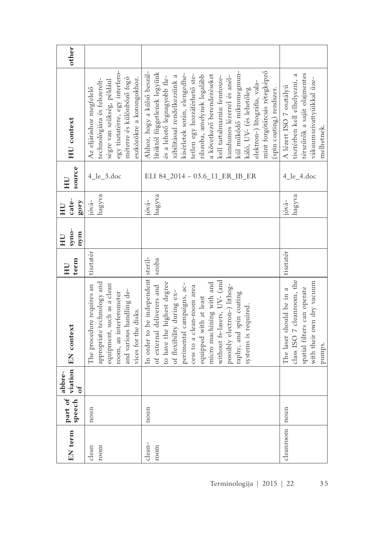| other                                           |                                                                                                                                                                                    |                                                                                                                                                                                                                                                                                                                                                                                                                                                                         |                                                                                                                                     |
|-------------------------------------------------|------------------------------------------------------------------------------------------------------------------------------------------------------------------------------------|-------------------------------------------------------------------------------------------------------------------------------------------------------------------------------------------------------------------------------------------------------------------------------------------------------------------------------------------------------------------------------------------------------------------------------------------------------------------------|-------------------------------------------------------------------------------------------------------------------------------------|
| <b>HU</b> context                               | egy tisztatérre, egy interfero-<br>méterre és különböző fogó<br>eszközökre a korongokhoz.<br>technológiára és felszerelt-<br>ségre van szükség, például<br>Az eljáráshoz megfelelő | kül működő mikromegmun-<br>Ahhoz, hogy a külső beszál-<br>mint forgótárcsás rétegképző<br>lítóktól függetlenek legyünk<br>kísérletek során, elengedhe-<br>a következő berendezéseket<br>tetlen egy hozzáférhető ste-<br>rilszoba, amelynek legalább<br>xibilitással rendelkezzünk a<br>kundumos lézerrel és anél-<br>kell tartalmaznia: femtosze-<br>és a lehető legnagyobb fle-<br>elektron-) litográfia, vala-<br>(spin coating) rendszer.<br>káló, UV- (és lehetőleg | térszűrők a saját olajmentes<br>tisztérben kell elhelyezni, a<br>vákuumszivattyúikkal üze-<br>A lézert ISO 7 osztályú<br>melhetnek. |
| source<br>HU                                    | $4$ <sup>le_3.doc</sup>                                                                                                                                                            | LI 84 2014 - 03.6 11 ER IB ER                                                                                                                                                                                                                                                                                                                                                                                                                                           | $4$ <sup>le</sup> _4.doc                                                                                                            |
| $cate-$<br>gory<br>HU                           | hagyva<br>$ióva-$                                                                                                                                                                  | hagyva<br>$jóva-$                                                                                                                                                                                                                                                                                                                                                                                                                                                       | hagyva<br>jóvá-                                                                                                                     |
| syno-<br>nym<br>НU                              |                                                                                                                                                                                    |                                                                                                                                                                                                                                                                                                                                                                                                                                                                         |                                                                                                                                     |
| term<br>$H_{\rm U}$                             | tisztatér                                                                                                                                                                          | steril-<br>szoba                                                                                                                                                                                                                                                                                                                                                                                                                                                        | tisztatér                                                                                                                           |
| <b>EN</b> context                               | appropriate technology and<br>equipment, such as a clean<br>The procedure requires an<br>and various handling de-<br>room, an interferometer<br>vices for the disks.               | In order to be independent<br>without fs-lasers, UV- (and<br>micro machining with and<br>to have the highest degree<br>perimental campaigns, ac-<br>possibly electron-) lithog-<br>of external deliverers and<br>cess to a clean-room area<br>of flexibility during ex-<br>raphy, and spin coating<br>equipped with at least<br>systems is required.                                                                                                                    | class ISO 7 cleanroom, the<br>with their own dry vacuum<br>spatial filters can operate<br>The laser should be in a<br>pumps.        |
| viation<br>abbre-<br>$\mathfrak{o}\mathfrak{t}$ |                                                                                                                                                                                    |                                                                                                                                                                                                                                                                                                                                                                                                                                                                         |                                                                                                                                     |
| part of<br>speech                               | noun                                                                                                                                                                               | noun                                                                                                                                                                                                                                                                                                                                                                                                                                                                    | noun                                                                                                                                |
| EN term                                         | room<br>clean                                                                                                                                                                      | clean-<br>room                                                                                                                                                                                                                                                                                                                                                                                                                                                          | cleanroom                                                                                                                           |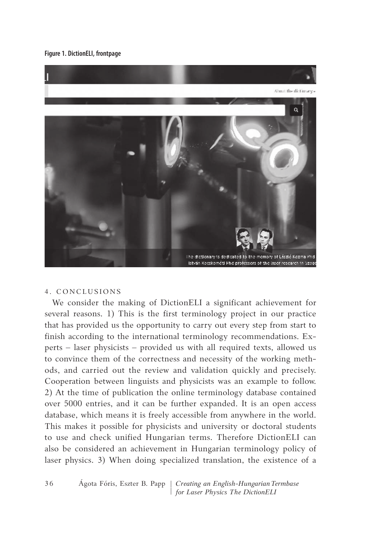**Figure 1. DictionELI, frontpage**



### 4. CONCLUS iONS

We consider the making of Diction ELI a significant achievement for several reasons. 1) This is the first terminology project in our practice that has provided us the opportunity to carry out every step from start to finish according to the international terminology recommendations. Experts – laser physicists – provided us with all required texts, allowed us to convince them of the correctness and necessity of the working methods, and carried out the review and validation quickly and precisely. Cooperation between linguists and physicists was an example to follow. 2) At the time of publication the online terminology database contained over 5000 entries, and it can be further expanded. it is an open access database, which means it is freely accessible from anywhere in the world. This makes it possible for physicists and university or doctoral students to use and check unified Hungarian terms. Therefore DictionELI can also be considered an achievement in Hungarian terminology policy of laser physics. 3) When doing specialized translation, the existence of a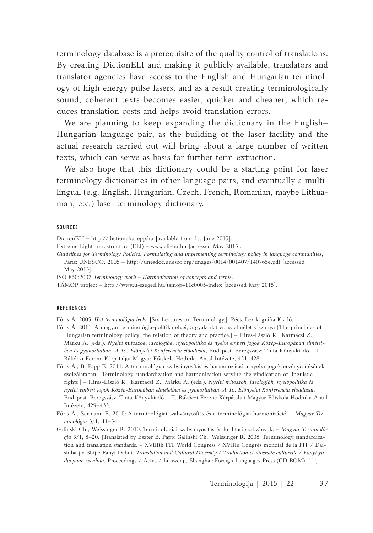terminology database is a prerequisite of the quality control of translations. By creating Diction ELI and making it publicly available, translators and translator agencies have access to the English and Hungarian terminology of high energy pulse lasers, and as a result creating terminologically sound, coherent texts becomes easier, quicker and cheaper, which reduces translation costs and helps avoid translation errors.

We are planning to keep expanding the dictionary in the English-Hungarian language pair, as the building of the laser facility and the actual research carried out will bring about a large number of written texts, which can serve as basis for further term extraction.

We also hope that this dictionary could be a starting point for laser terminology dictionaries in other language pairs, and eventually a multilingual (e.g. English, Hungarian, Czech, French, Romanian, maybe Lithuanian, etc.) laser terminology dictionary.

#### **SOURCES**

DictioneLi – http://dictioneli.stepp.hu [available from 1st June 2015].

- Extreme Light Infrastructure (ELI) www.eli-hu.hu [accessed May 2015].
- Guidelines for Terminology Policies. Formulating and implementing terminology policy in language communities, Paris: UNESCO, 2005 - http://unesdoc.unesco.org/images/0014/001407/140765e.pdf [accessed
	- May 2015].
- ISO 860:2007 *Terminology work* Harmonization of concepts and terms.

TÁMOP project – http://www.u-szeged.hu/tamop411c0005-index [accessed May 2015].

#### **REFERENCES**

Fóris Á. 2005: *Hat terminológia lecke* [Six Lectures on Terminology.], Pécs: Lexikográfia Kiadó.

- Fóris Á. 2011: A magyar terminológia-politika elvei, a gyakorlat és az elmélet viszonya [The principles of Hungarian terminology policy, the relation of theory and practice.] – Hires-László K., Karmacsi Z., Márku A. (eds.). *Nyelvi mítoszok, ideológiák, nyelvpolitika és nyelvi emberi jogok Közép-Európában elmélet*ben és gyakorlatban. A 16. Élőnyelvi Konferencia előadásai, Budapest–Beregszász: Tinta Könyvkiadó – II. Rákóczi Ferenc Kárpátaljai Magyar Főiskola Hodinka Antal intézete, 421–428.
- Fóris Á., B. Papp E. 2011: A terminológiai szabványosítás és harmonizáció a nyelvi jogok érvényesítésének szolgálatában. [Terminology standardization and harmonization serving the vindication of linguistic rights.] – Hires-László K., Karmacsi Z., Márku A. (eds.). *Nyelvi mítoszok, ideológiák, nyelvpolitika és nyelvi emberi jogok Közép-Európában elméletben és gyakorlatban. A 16. Élőnyelvi Konferencia előadásai*, Budapest–Beregszász: Tinta Könyvkiadó – ii. Rákóczi Ferenc Kárpátaljai Magyar Főiskola Hodinka Antal Intézete, 429-433.
- Fóris Á., Sermann E. 2010: A terminológiai szabványosítás és a terminológiai harmonizáció. Magyar Ter*minológia* 3/1, 41–54.
- Galinski Ch., Weissinger R. 2010: Terminológiai szabványosítás és fordítási szabványok. Magyar Terminoló*gia* 3/1, 8–20. [Translated by eszter B. Papp: Galinski Ch., Weissinger R. 2008: Terminology standardization and translation standards. – XVIIIth FIT World Congress / XVIIIe Congrès mondial de la FIT / Daishiba-jie Shijie Fanyi Dahui. *Translation and Cultural Diversity / Traduction et diversité culturelle / Fanyi yu duoyuan-wenhua.* Proceedings / Actes / Lunwenji, Shanghai: Foreign Languages Press (CD-ROM). 11.]